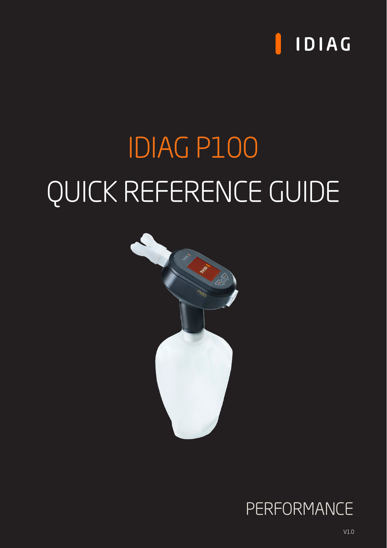

# IDIAG P100 QUICK REFERENCE GUIDE



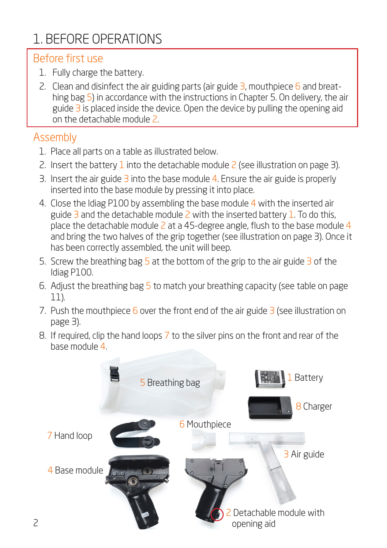# 1. BEFORE OPERATIONS

#### Before first use

- 1. Fully charge the battery.
- 2. Clean and disinfect the air guiding parts (air guide  $\frac{3}{2}$ , mouthpiece  $\frac{6}{2}$  and breathing bag 5) in accordance with the instructions in Chapter 5. On delivery, the air guide  $\overline{3}$  is placed inside the device. Open the device by pulling the opening aid on the detachable module 2.

## Assembly

- 1. Place all parts on a table as illustrated below.
- 2. Insert the battery 1 into the detachable module  $\frac{2}{5}$  (see illustration on page 3).
- 3. Insert the air guide  $\overline{3}$  into the base module 4. Ensure the air guide is properly inserted into the base module by pressing it into place.
- 4. Close the Idiag P100 by assembling the base module 4 with the inserted air guide  $\overline{3}$  and the detachable module  $\overline{2}$  with the inserted battery 1. To do this, place the detachable module  $2$  at a 45-degree angle, flush to the base module  $4$ and bring the two halves of the grip together (see illustration on page 3). Once it has been correctly assembled, the unit will beep.
- 5. Screw the breathing bag  $5$  at the bottom of the grip to the air guide  $3$  of the Idiag P100.
- 6. Adjust the breathing bag 5 to match your breathing capacity (see table on page 11).
- 7. Push the mouthpiece  $6$  over the front end of the air guide  $3$  (see illustration on page 3).
- 8. If required, clip the hand loops 7 to the silver pins on the front and rear of the base module 4.

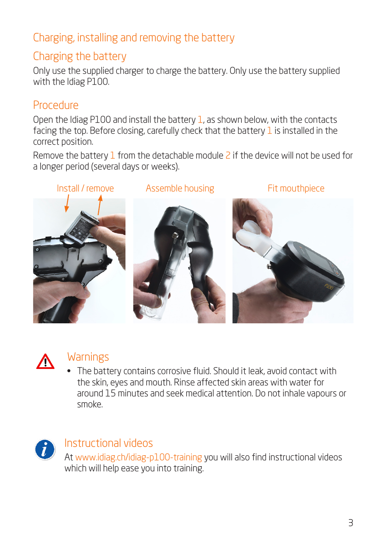# Charging, installing and removing the battery

#### Charging the battery

Only use the supplied charger to charge the battery. Only use the battery supplied with the Idiag P100.

#### **Procedure**

Open the Idiag P100 and install the battery 1, as shown below, with the contacts facing the top. Before closing, carefully check that the battery 1 is installed in the correct position.

Remove the battery  $1$  from the detachable module  $2$  if the device will not be used for a longer period (several days or weeks).





#### **Warnings**

• The battery contains corrosive fluid. Should it leak, avoid contact with the skin, eyes and mouth. Rinse affected skin areas with water for around 15 minutes and seek medical attention. Do not inhale vapours or smoke.



#### Instructional videos

At [www.idiag.ch/idiag-p100-training](https://www.idiag.ch/idiag-p100-training/) you will also find instructional videos which will help ease you into training.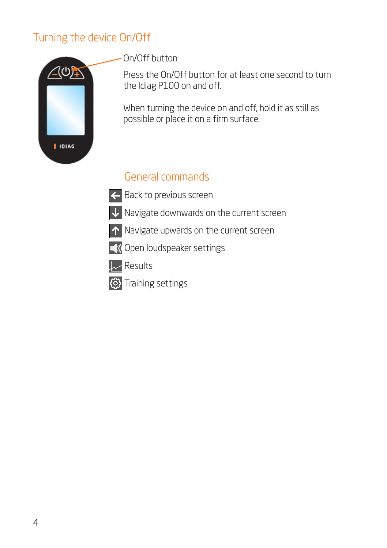#### Turning the device On/Off



On/Off button

Press the On/Off button for at least one second to turn the Idiag P100 on and off.

When turning the device on and off, hold it as still as possible or place it on a firm surface.

## General commands

- **Back to previous screen**
- V Navigate downwards on the current screen
- A Navigate upwards on the current screen
- Open loudspeaker settings



**EX** Training settings

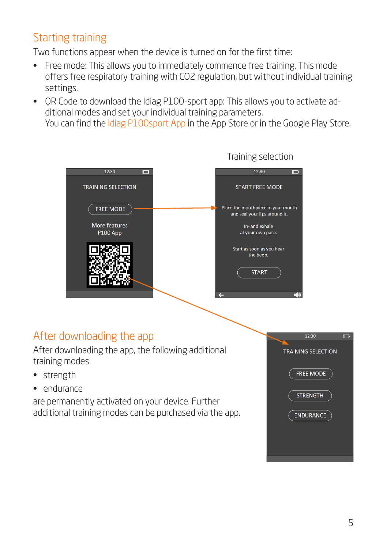# Starting training

Two functions appear when the device is turned on for the first time:

- Free mode: This allows you to immediately commence free training. This mode offers free respiratory training with CO2 regulation, but without individual training settings.
- QR Code to download the Idiag P100-sport app: This allows you to activate additional modes and set your individual training parameters.

You can find the Idiag P100sport App in the App Store or in the Google Play Store.



After downloading the app, the following additional training modes

- strength
- endurance

are permanently activated on your device. Further additional training modes can be purchased via the app.

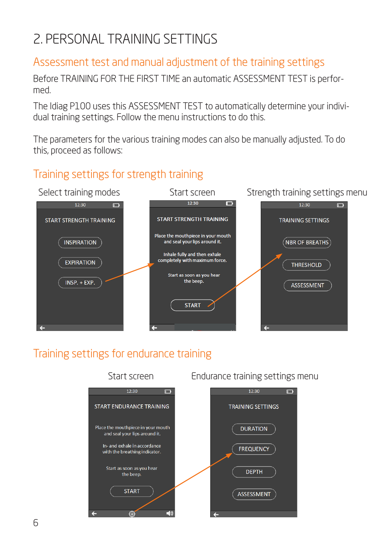# 2. PERSONAL TRAINING SETTINGS

#### Assessment test and manual adjustment of the training settings

Before TRAINING FOR THE FIRST TIME an automatic ASSESSMENT TEST is performed.

The Idiag P100 uses this ASSESSMENT TEST to automatically determine your individual training settings. Follow the menu instructions to do this.

The parameters for the various training modes can also be manually adjusted. To do this, proceed as follows:

## Training settings for strength training



## Training settings for endurance training

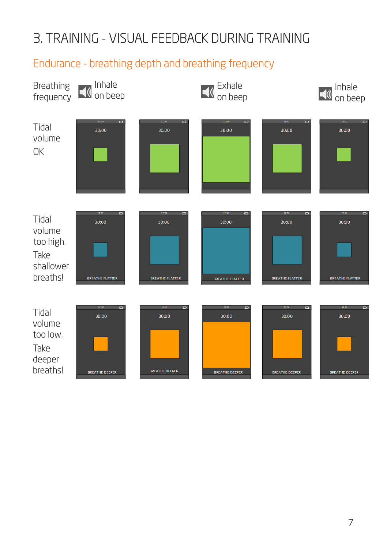# 3. TRAINING - VISUAL FEEDBACK DURING TRAINING

## Endurance - breathing depth and breathing frequency

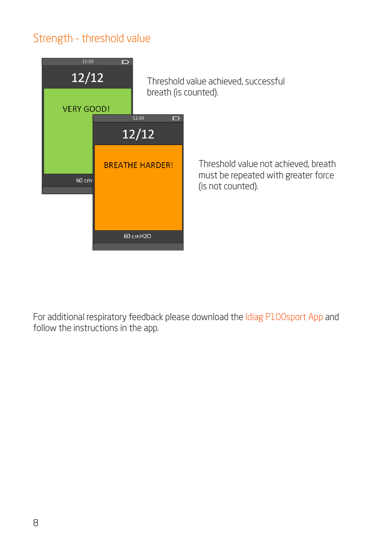#### Strength - threshold value



For additional respiratory feedback please download the Idiag P100sport App and follow the instructions in the app.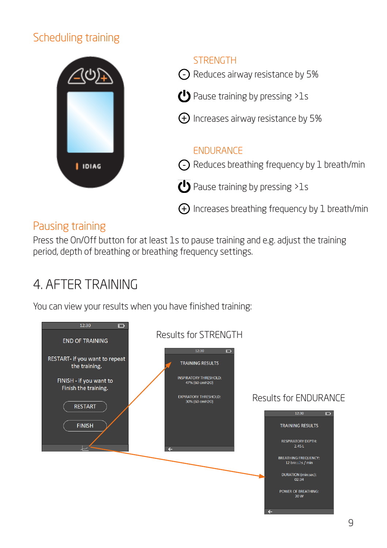# Scheduling training



#### Pausing training

Press the On/Off button for at least 1s to pause training and e.g. adjust the training period, depth of breathing or breathing frequency settings.

# 4. AFTER TRAINING

You can view your results when you have finished training:

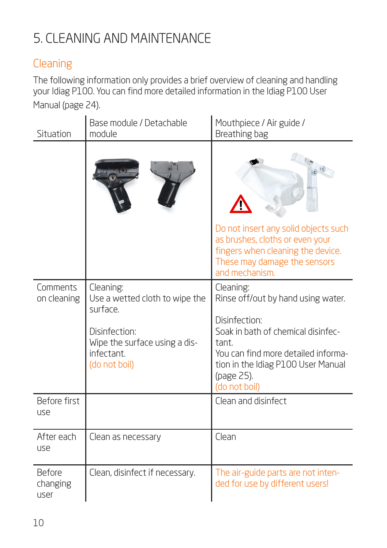# 5. CLEANING AND MAINTENANCE

# **Cleaning**

The following information only provides a brief overview of cleaning and handling your Idiag P100. You can find more detailed information in the Idiag P100 User Manual (page 24).

| Situation                  | Base module / Detachable<br>module                                                                                                       | Mouthpiece / Air guide /<br>Breathing bag                                                                                                                                                                                   |
|----------------------------|------------------------------------------------------------------------------------------------------------------------------------------|-----------------------------------------------------------------------------------------------------------------------------------------------------------------------------------------------------------------------------|
|                            |                                                                                                                                          |                                                                                                                                                                                                                             |
|                            |                                                                                                                                          | Do not insert any solid objects such<br>as brushes, cloths or even your<br>fingers when cleaning the device.<br>These may damage the sensors<br>and mechanism.                                                              |
| Comments<br>on cleaning    | Cleaning:<br>Use a wetted cloth to wipe the<br>surface.<br>Disinfection:<br>Wipe the surface using a dis-<br>infectant.<br>(do not boil) | Cleaning:<br>Rinse off/out by hand using water.<br>Disinfection:<br>Soak in bath of chemical disinfec-<br>tant.<br>You can find more detailed informa-<br>tion in the Idiag P100 User Manual<br>(page 25).<br>(do not boil) |
| Before first<br>use        |                                                                                                                                          | Clean and disinfect                                                                                                                                                                                                         |
| After each<br>use          | Clean as necessary                                                                                                                       | Clean                                                                                                                                                                                                                       |
| Before<br>changing<br>user | Clean, disinfect if necessary.                                                                                                           | The air-guide parts are not inten-<br>ded for use by different users!                                                                                                                                                       |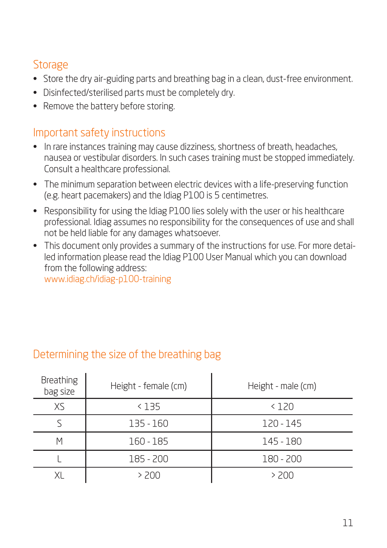#### **Storage**

- Store the dry air-guiding parts and breathing bag in a clean, dust-free environment.
- Disinfected/sterilised parts must be completely dry.
- Remove the battery before storing.

#### Important safety instructions

- In rare instances training may cause dizziness, shortness of breath, headaches, nausea or vestibular disorders. In such cases training must be stopped immediately. Consult a healthcare professional.
- The minimum separation between electric devices with a life-preserving function (e.g. heart pacemakers) and the Idiag P100 is 5 centimetres.
- Responsibility for using the Idiag P100 lies solely with the user or his healthcare professional. Idiag assumes no responsibility for the consequences of use and shall not be held liable for any damages whatsoever.
- This document only provides a summary of the instructions for use. For more detailed information please read the Idiag P100 User Manual which you can download from the following address: [www.idiag.ch/idiag-p100-training](http://www.idiag.ch/idiag-p100-training)

#### Determining the size of the breathing bag

| <b>Breathing</b><br>bag size | Height - female (cm) | Height - male (cm) |
|------------------------------|----------------------|--------------------|
| XS                           | < 135                | < 120              |
|                              | 135 - 160            | 120 - 145          |
| Μ                            | 160 - 185            | 145 - 180          |
|                              | 185 - 200            | 180 - 200          |
| ΧL                           | > 200                | > 200              |